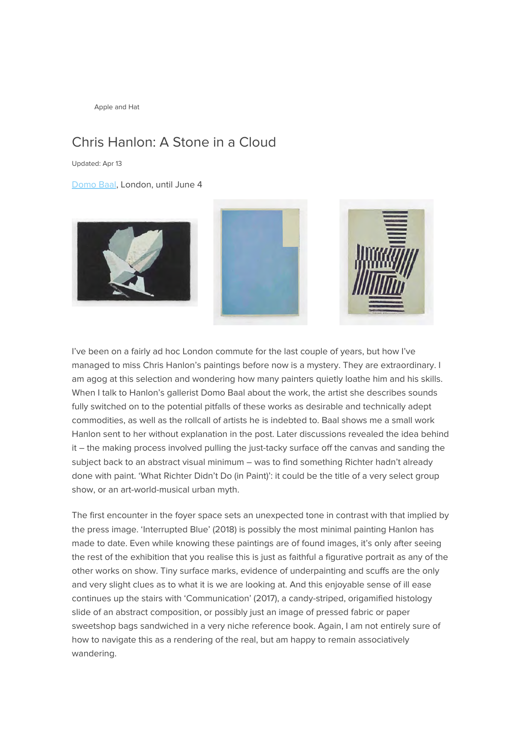Apple and Hat

## Chris Hanlon: A Stone in a Cloud

Updated: Apr 13

[Domo Baal,](http://www.domobaal.com/) London, until June 4







I've been on a fairly ad hoc London commute for the last couple of years, but how I've managed to miss Chris Hanlon's paintings before now is a mystery. They are extraordinary. I am agog at this selection and wondering how many painters quietly loathe him and his skills. When I talk to Hanlon's gallerist Domo Baal about the work, the artist she describes sounds fully switched on to the potential pitfalls of these works as desirable and technically adept commodities, as well as the rollcall of artists he is indebted to. Baal shows me a small work Hanlon sent to her without explanation in the post. Later discussions revealed the idea behind it – the making process involved pulling the just-tacky surface off the canvas and sanding the subject back to an abstract visual minimum – was to find something Richter hadn't already done with paint. 'What Richter Didn't Do (in Paint)': it could be the title of a very select group show, or an art-world-musical urban myth.

The first encounter in the foyer space sets an unexpected tone in contrast with that implied by the press image. 'Interrupted Blue' (2018) is possibly the most minimal painting Hanlon has made to date. Even while knowing these paintings are of found images, it's only after seeing the rest of the exhibition that you realise this is just as faithful a figurative portrait as any of the other works on show. Tiny surface marks, evidence of underpainting and scuffs are the only and very slight clues as to what it is we are looking at. And this enjoyable sense of ill ease continues up the stairs with 'Communication' (2017), a candy-striped, origamified histology slide of an abstract composition, or possibly just an image of pressed fabric or paper sweetshop bags sandwiched in a very niche reference book. Again, I am not entirely sure of how to navigate this as a rendering of the real, but am happy to remain associatively wandering.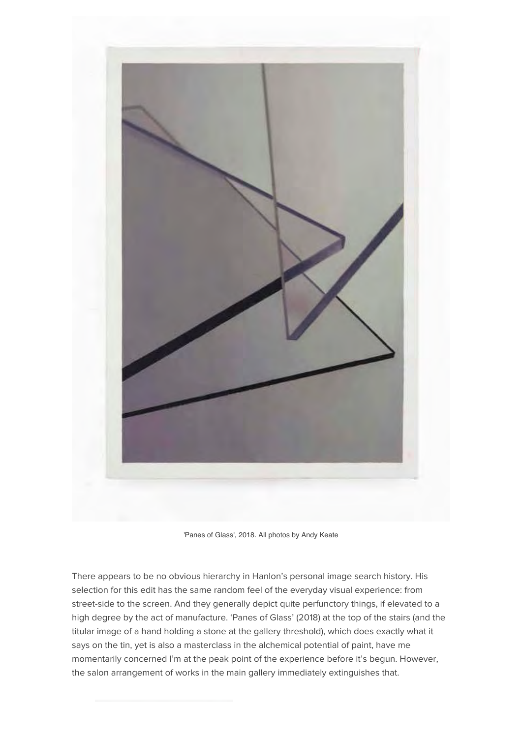

'Panes of Glass', 2018. All photos by Andy Keate

There appears to be no obvious hierarchy in Hanlon's personal image search history. His selection for this edit has the same random feel of the everyday visual experience: from street-side to the screen. And they generally depict quite perfunctory things, if elevated to a high degree by the act of manufacture. 'Panes of Glass' (2018) at the top of the stairs (and the titular image of a hand holding a stone at the gallery threshold), which does exactly what it says on the tin, yet is also a masterclass in the alchemical potential of paint, have me momentarily concerned I'm at the peak point of the experience before it's begun. However, the salon arrangement of works in the main gallery immediately extinguishes that.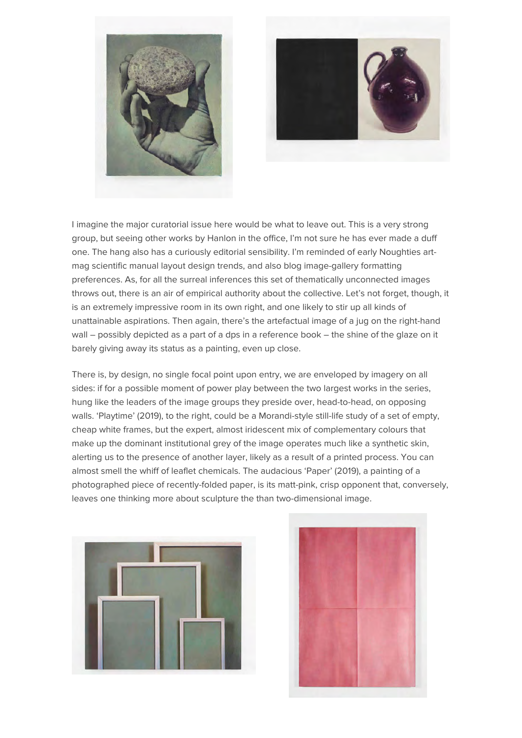



I imagine the major curatorial issue here would be what to leave out. This is a very strong group, but seeing other works by Hanlon in the office, I'm not sure he has ever made a duff one. The hang also has a curiously editorial sensibility. I'm reminded of early Noughties artmag scientific manual layout design trends, and also blog image-gallery formatting preferences. As, for all the surreal inferences this set of thematically unconnected images throws out, there is an air of empirical authority about the collective. Let's not forget, though, it is an extremely impressive room in its own right, and one likely to stir up all kinds of unattainable aspirations. Then again, there's the artefactual image of a jug on the right-hand wall – possibly depicted as a part of a dps in a reference book – the shine of the glaze on it barely giving away its status as a painting, even up close.

There is, by design, no single focal point upon entry, we are enveloped by imagery on all sides: if for a possible moment of power play between the two largest works in the series, hung like the leaders of the image groups they preside over, head-to-head, on opposing walls. 'Playtime' (2019), to the right, could be a Morandi-style still-life study of a set of empty, cheap white frames, but the expert, almost iridescent mix of complementary colours that make up the dominant institutional grey of the image operates much like a synthetic skin, alerting us to the presence of another layer, likely as a result of a printed process. You can almost smell the whiff of leaflet chemicals. The audacious 'Paper' (2019), a painting of a photographed piece of recently-folded paper, is its matt-pink, crisp opponent that, conversely, leaves one thinking more about sculpture the than two-dimensional image.